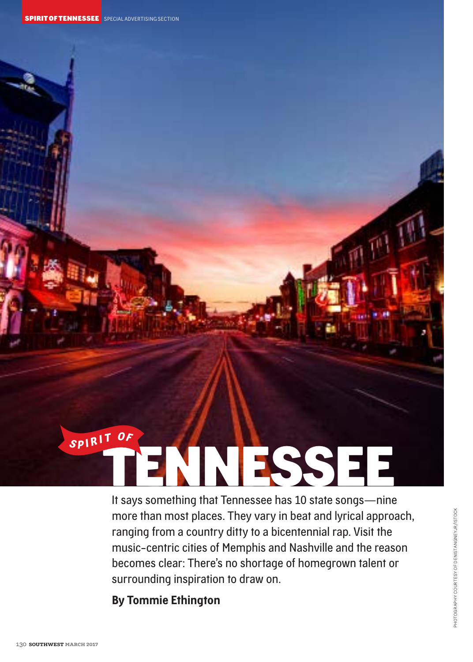

It says something that Tennessee has 10 state songs—nine more than most places. They vary in beat and lyrical approach, ranging from a country ditty to a bicentennial rap. Visit the music-centric cities of Memphis and Nashville and the reason becomes clear: There's no shortage of homegrown talent or surrounding inspiration to draw on.

**By Tommie Ethington**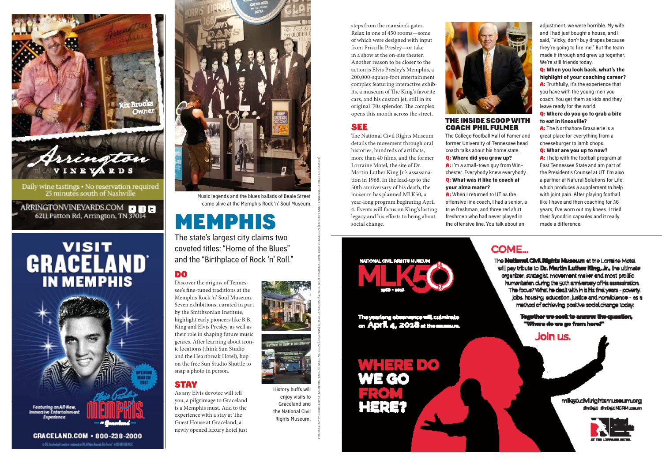

25 minutes south of Nashville

ARRINGTONVINEYARDS.COM **DDD** 6211 Patton Rd, Arrington, TN 37014

# **GRACELAND IN MEMPHIS**



o St. Individuit contemplated di Källigin barat So Pedy" o SITUCSTUS



Music legends and the blues ballads of Beale Street come alive at the Memphis Rock 'n' Soul Museum.

## MEMPHIS

The state's largest city claims two coveted titles: "Home of the Blues" and the "Birthplace of Rock 'n' Roll."

## DO

Discover the origins of Tennessee's fine-tuned traditions at the Memphis Rock 'n' Soul Museum. Seven exhibitions, curated in part by the Smithsonian Institute, highlight early pioneers like B.B. King and Elvis Presley, as well as their role in shaping future music genres. After learning about iconic locations (think Sun Studio and the Heartbreak Hotel), hop on the free Sun Studio Shuttle to snap a photo in person.

### STAY

As any Elvis devotee will tell you, a pilgrimage to Graceland is a Memphis must. Add to the experience with a stay at The Guest House at Graceland, a newly opened luxury hotel just

steps from the mansion's gates. Relax in one of 450 rooms—some of which were designed with input from Priscilla Presley—or take in a show at the on-site theater. Another reason to be closer to the action is Elvis Presley's Memphis, a 200,000-square-foot entertainment complex featuring interactive exhibits, a museum of The King's favorite cars, and his custom jet, still in its original '70s splendor. The complex opens this month across the street.

### SEE

The National Civil Rights Museum details the movement through oral histories, hundreds of artifacts, more than 40 films, and the former Lorraine Motel, the site of Dr. Martin Luther King Jr.'s assassination in 1968. In the lead-up to the 50th anniversary of his death, the museum has planned MLK50, a year-long program beginning April 4. Events will focus on King's lasting legacy and his efforts to bring about social change.

The yearlong elementrics will culminate on April 4, 2018 at the manus.





#### THE INSIDE SCOOP WITH COACH PHIL FULMER

The College Football Hall of Famer and former University of Tennessee head coach talks about his home state. Q: **Where did you grow up?**  A: I'm a small-town guy from Winchester. Everybody knew everybody. Q: **What was it like to coach at** 

**your alma mater?** A: When I returned to UT as the offensive line coach, I had a senior, a true freshman, and three red shirt freshmen who had never played in the offensive line. You talk about an

adjustment; we were horrible. My wife and I had just bought a house, and I said, "Vicky, don't buy drapes because they're going to fire me." But the team made it through and grew up together. We're still friends today.

Q: **When you look back, what's the highlight of your coaching career?**

A: Truthfully, it's the experience that you have with the young men you coach. You get them as kids and they

#### leave ready for the world. Q: **Where do you go to grab a bite to eat in Knoxville?**

A: The Northshore Brassierie is a great place for everything from a cheeseburger to lamb chops.

#### Q: **What are you up to now?**

A: I help with the football program at East Tennessee State and am part of the President's Counsel at UT. I'm also a partner at Natural Solutions for Life, which produces a supplement to help with joint pain. After playing football like I have and then coaching for 36 years, I've worn out my knees. I tried their Synodrin capsules and it really made a difference.



PHOTOGRAPHY COURTESY OF MEMPHIS ROCK 'N' SOUL MUSEUM (LEGENDS), GRACELAND.COM (GRACELAND), NATIONAL CIVIL RIGHTS MUSEUM (EXHIBIT), AND TENNESSEE ATHLETICS (COACH)

History buffs will enjoy visits to Graceland and the National Civil Rights Museum.